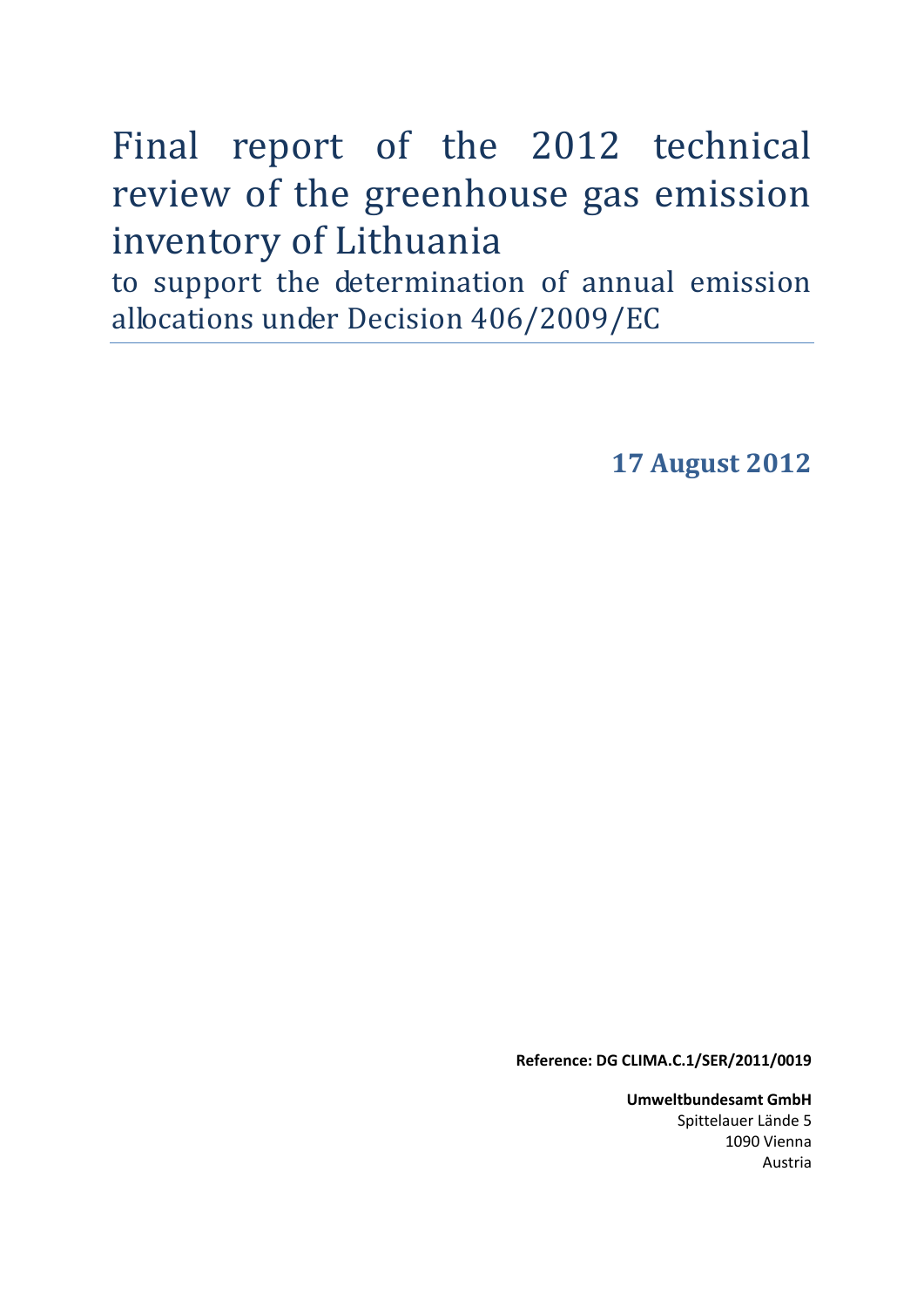# Final report of the 2012 technical review of the greenhouse gas emission inventory of Lithuania

to support the determination of annual emission allocations under Decision 406/2009/EC

**17 August 2012** 

**Reference: DG CLIMA.C.1/SER/2011/0019** 

**Umweltbundesamt GmbH** Spittelauer Lände 5 1090 Vienna Austria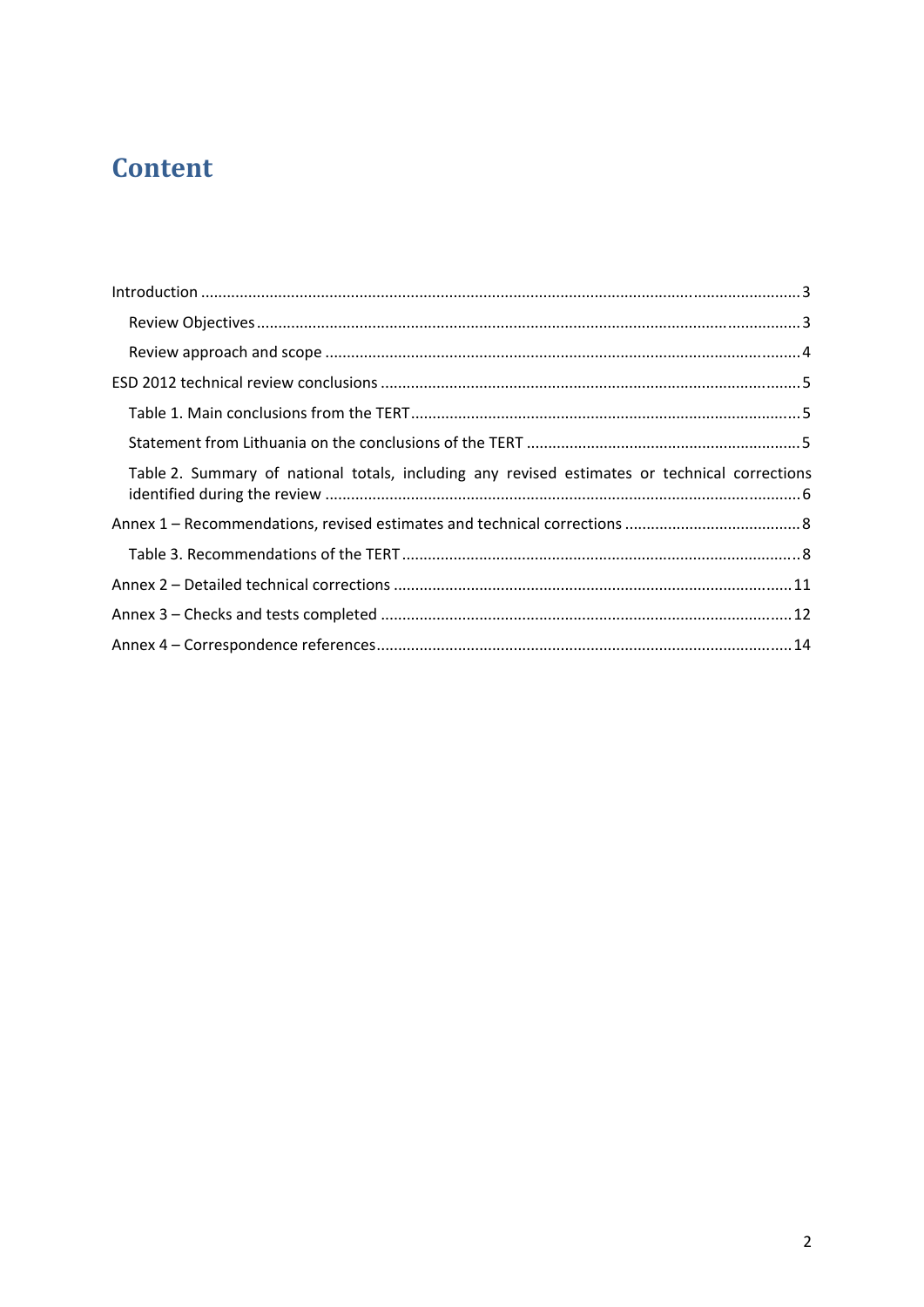## **Content**

| Table 2. Summary of national totals, including any revised estimates or technical corrections |  |
|-----------------------------------------------------------------------------------------------|--|
|                                                                                               |  |
|                                                                                               |  |
|                                                                                               |  |
|                                                                                               |  |
|                                                                                               |  |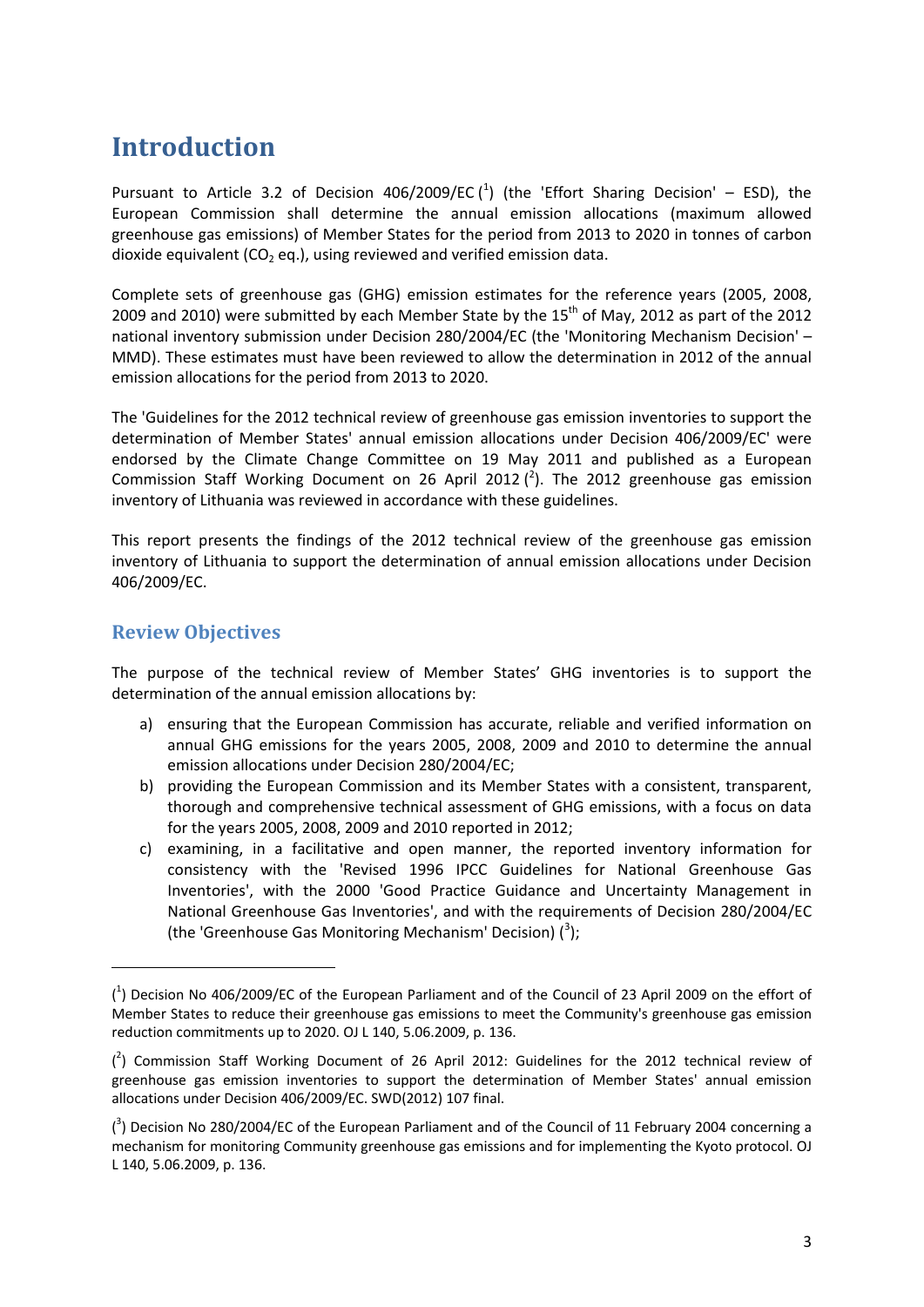### <span id="page-2-0"></span>**Introduction**

Pursuant to Article 3.2 of Decision 406/2009/EC  $(^1)$  (the 'Effort Sharing Decision' – ESD), the European Commission shall determine the annual emission allocations (maximum allowed greenhouse gas emissions) of Member States for the period from 2013 to 2020 in tonnes of carbon dioxide equivalent ( $CO<sub>2</sub>$  eq.), using reviewed and verified emission data.

Complete sets of greenhouse gas (GHG) emission estimates for the reference years (2005, 2008, 2009 and 2010) were submitted by each Member State by the  $15<sup>th</sup>$  of May, 2012 as part of the 2012 national inventory submission under Decision 280/2004/EC (the 'Monitoring Mechanism Decision' – MMD). These estimates must have been reviewed to allow the determination in 2012 of the annual emission allocations for the period from 2013 to 2020.

The 'Guidelines for the 2012 technical review of greenhouse gas emission inventories to support the determination of Member States' annual emission allocations under Decision 406/2009/EC' were endorsed by the Climate Change Committee on 19 May 2011 and published as a European Commission Staff Working Document on 26 April 2012  $(^2)$ . The 2012 greenhouse gas emission inventory of Lithuania was reviewed in accordance with these guidelines.

This report presents the findings of the 2012 technical review of the greenhouse gas emission inventory of Lithuania to support the determination of annual emission allocations under Decision 406/2009/EC.

#### <span id="page-2-1"></span>**Review Objectives**

1

The purpose of the technical review of Member States' GHG inventories is to support the determination of the annual emission allocations by:

- a) ensuring that the European Commission has accurate, reliable and verified information on annual GHG emissions for the years 2005, 2008, 2009 and 2010 to determine the annual emission allocations under Decision 280/2004/EC;
- b) providing the European Commission and its Member States with a consistent, transparent, thorough and comprehensive technical assessment of GHG emissions, with a focus on data for the years 2005, 2008, 2009 and 2010 reported in 2012;
- c) examining, in a facilitative and open manner, the reported inventory information for consistency with the 'Revised 1996 IPCC Guidelines for National Greenhouse Gas Inventories', with the 2000 'Good Practice Guidance and Uncertainty Management in National Greenhouse Gas Inventories', and with the requirements of Decision 280/2004/EC (the 'Greenhouse Gas Monitoring Mechanism' Decision)  $(^3)$ ;

<sup>(</sup> 1 ) [Decision No 406/2009/EC of the European Parliament and of the Council of 23 April 2009 on the effort of](http://eur-lex.europa.eu/LexUriServ/LexUriServ.do?uri=OJ:L:2009:140:0136:0148:EN:PDF)  [Member States to reduce their greenhouse gas emissions to meet the Community's greenhouse gas emission](http://eur-lex.europa.eu/LexUriServ/LexUriServ.do?uri=OJ:L:2009:140:0136:0148:EN:PDF)  [reduction commitments up to 2020.](http://eur-lex.europa.eu/LexUriServ/LexUriServ.do?uri=OJ:L:2009:140:0136:0148:EN:PDF) OJ L 140, 5.06.2009, p. 136.

 $(^2)$  Commission Staff Working Document of 26 April 2012: Guidelines for the 2012 technical review of [greenhouse gas emission inventories to support the determination of Member States' annual emission](http://ec.europa.eu/clima/policies/effort/docs/swd_2012_107_en.pdf)  [allocations under Decision 406/2009/EC.](http://ec.europa.eu/clima/policies/effort/docs/swd_2012_107_en.pdf) SWD(2012) 107 final.

 $\binom{3}{1}$  Decision No 280/2004/EC of the European Parliament and of the Council of 11 February 2004 concerning a [mechanism for monitoring Community greenhouse gas emissions and for implementing the Kyoto protocol.](http://eur-lex.europa.eu/LexUriServ/LexUriServ.do?uri=OJ:L:2004:049:0001:0001:EN:PDF) OJ L 140, 5.06.2009, p. 136.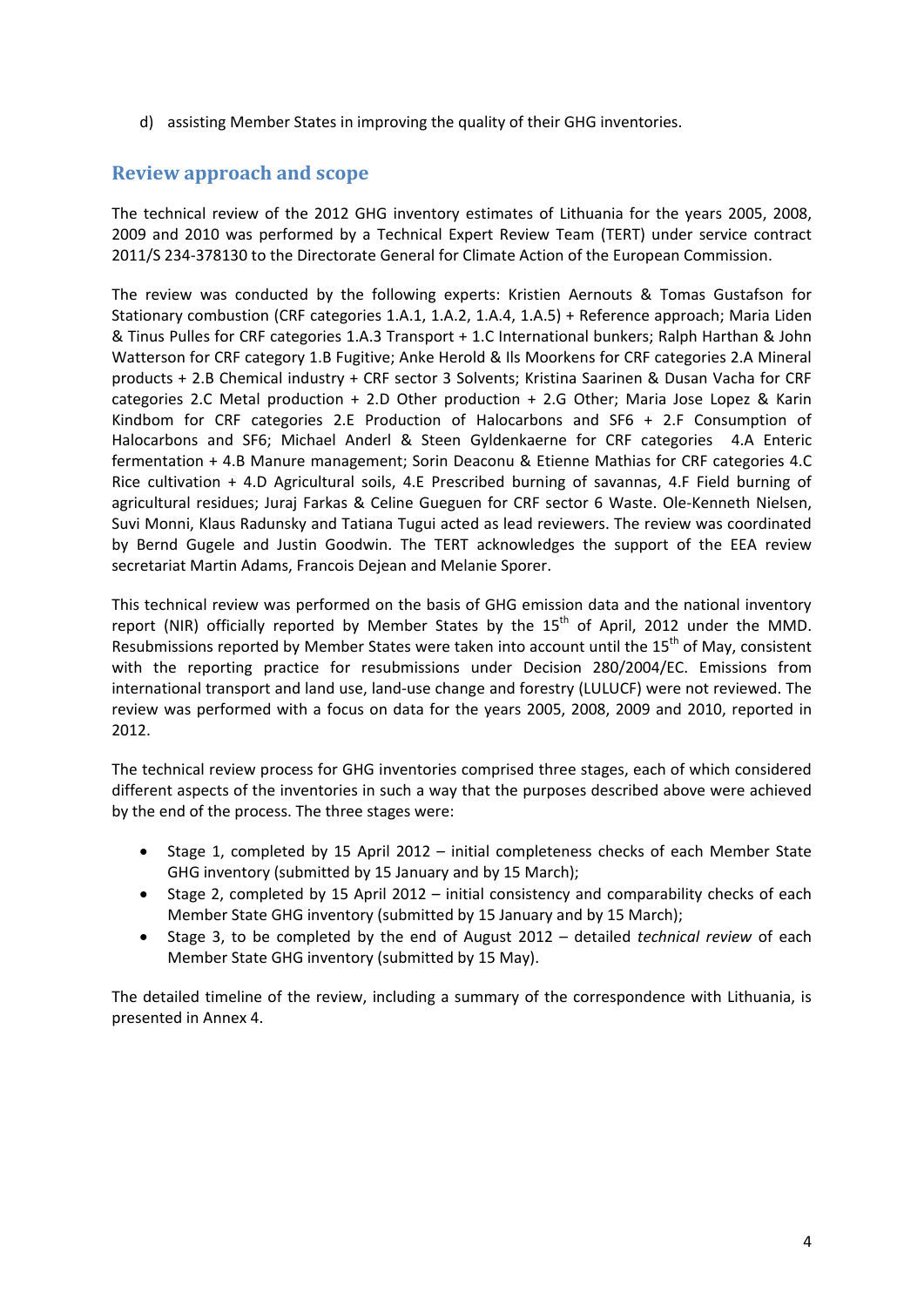d) assisting Member States in improving the quality of their GHG inventories.

#### <span id="page-3-0"></span>**Review approach and scope**

The technical review of the 2012 GHG inventory estimates of Lithuania for the years 2005, 2008, 2009 and 2010 was performed by a Technical Expert Review Team (TERT) under service contract 2011/S 234-378130 to the Directorate General for Climate Action of the European Commission.

The review was conducted by the following experts: Kristien Aernouts & Tomas Gustafson for Stationary combustion (CRF categories 1.A.1, 1.A.2, 1.A.4, 1.A.5) + Reference approach; Maria Liden & Tinus Pulles for CRF categories 1.A.3 Transport + 1.C International bunkers; Ralph Harthan & John Watterson for CRF category 1.B Fugitive; Anke Herold & Ils Moorkens for CRF categories 2.A Mineral products + 2.B Chemical industry + CRF sector 3 Solvents; Kristina Saarinen & Dusan Vacha for CRF categories 2.C Metal production + 2.D Other production + 2.G Other; Maria Jose Lopez & Karin Kindbom for CRF categories 2.E Production of Halocarbons and SF6 + 2.F Consumption of Halocarbons and SF6; Michael Anderl & Steen Gyldenkaerne for CRF categories 4.A Enteric fermentation + 4.B Manure management; Sorin Deaconu & Etienne Mathias for CRF categories 4.C Rice cultivation + 4.D Agricultural soils, 4.E Prescribed burning of savannas, 4.F Field burning of agricultural residues; Juraj Farkas & Celine Gueguen for CRF sector 6 Waste. Ole-Kenneth Nielsen, Suvi Monni, Klaus Radunsky and Tatiana Tugui acted as lead reviewers. The review was coordinated by Bernd Gugele and Justin Goodwin. The TERT acknowledges the support of the EEA review secretariat Martin Adams, Francois Dejean and Melanie Sporer.

This technical review was performed on the basis of GHG emission data and the national inventory report (NIR) officially reported by Member States by the  $15<sup>th</sup>$  of April, 2012 under the MMD. Resubmissions reported by Member States were taken into account until the  $15<sup>th</sup>$  of May, consistent with the reporting practice for resubmissions under Decision 280/2004/EC. Emissions from international transport and land use, land-use change and forestry (LULUCF) were not reviewed. The review was performed with a focus on data for the years 2005, 2008, 2009 and 2010, reported in 2012.

The technical review process for GHG inventories comprised three stages, each of which considered different aspects of the inventories in such a way that the purposes described above were achieved by the end of the process. The three stages were:

- Stage 1, completed by 15 April 2012 initial completeness checks of each Member State GHG inventory (submitted by 15 January and by 15 March);
- Stage 2, completed by 15 April 2012 initial consistency and comparability checks of each Member State GHG inventory (submitted by 15 January and by 15 March);
- Stage 3, to be completed by the end of August 2012 detailed *technical review* of each Member State GHG inventory (submitted by 15 May).

The detailed timeline of the review, including a summary of the correspondence with Lithuania, is presented in Annex 4.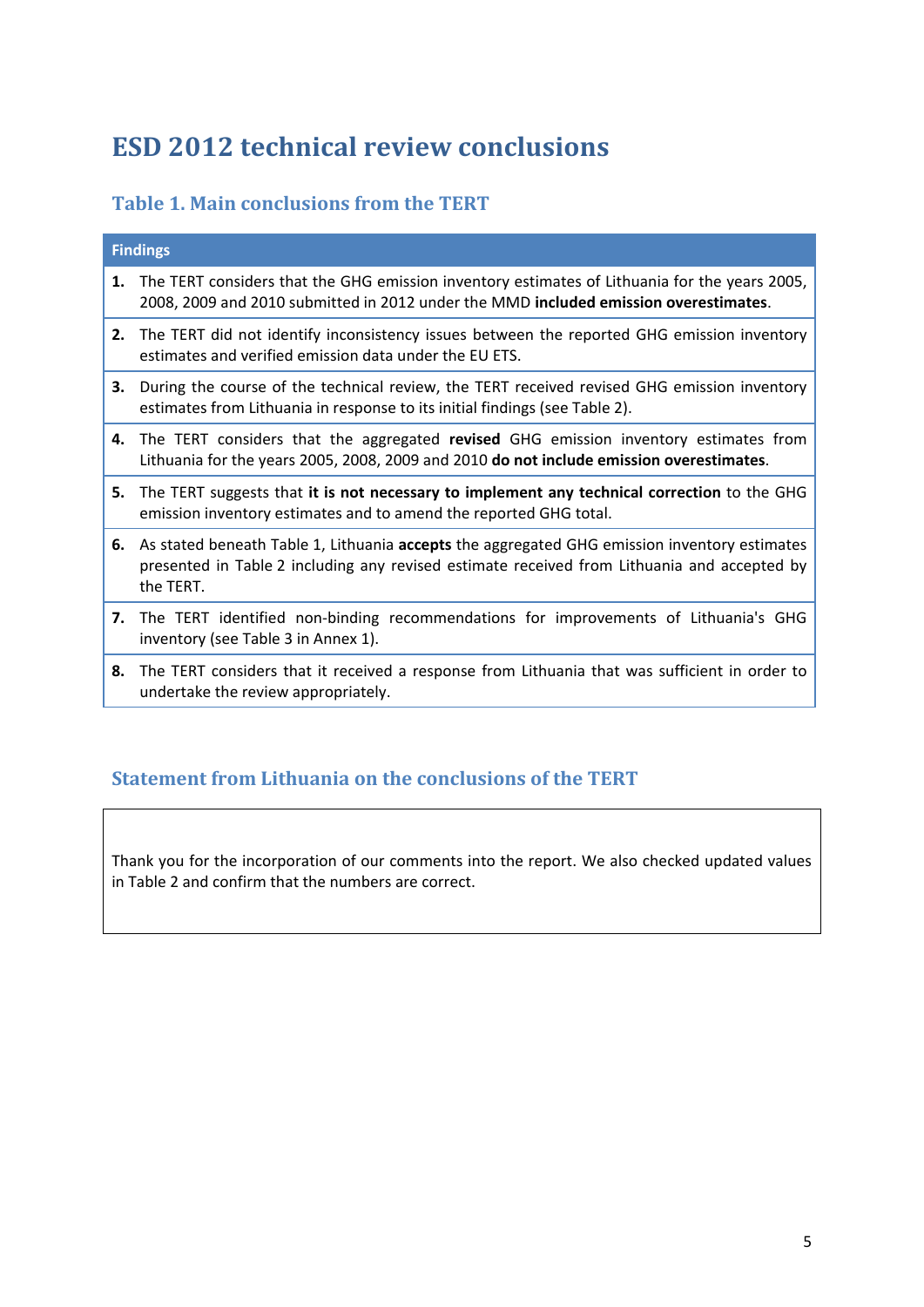### <span id="page-4-0"></span>**ESD 2012 technical review conclusions**

#### <span id="page-4-1"></span>**Table 1. Main conclusions from the TERT**

|    | <b>Findings</b>                                                                                                                                                                                             |
|----|-------------------------------------------------------------------------------------------------------------------------------------------------------------------------------------------------------------|
| 1. | The TERT considers that the GHG emission inventory estimates of Lithuania for the years 2005,<br>2008, 2009 and 2010 submitted in 2012 under the MMD included emission overestimates.                       |
|    | 2. The TERT did not identify inconsistency issues between the reported GHG emission inventory<br>estimates and verified emission data under the EU ETS.                                                     |
| З. | During the course of the technical review, the TERT received revised GHG emission inventory<br>estimates from Lithuania in response to its initial findings (see Table 2).                                  |
| 4. | The TERT considers that the aggregated revised GHG emission inventory estimates from<br>Lithuania for the years 2005, 2008, 2009 and 2010 do not include emission overestimates.                            |
| 5. | The TERT suggests that it is not necessary to implement any technical correction to the GHG<br>emission inventory estimates and to amend the reported GHG total.                                            |
|    | 6. As stated beneath Table 1, Lithuania accepts the aggregated GHG emission inventory estimates<br>presented in Table 2 including any revised estimate received from Lithuania and accepted by<br>the TERT. |
|    | 7. The TERT identified non-binding recommendations for improvements of Lithuania's GHG<br>inventory (see Table 3 in Annex 1).                                                                               |
|    | 8. The TERT considers that it received a response from Lithuania that was sufficient in order to<br>undertake the review appropriately.                                                                     |

#### <span id="page-4-2"></span>**Statement from Lithuania on the conclusions of the TERT**

Thank you for the incorporation of our comments into the report. We also checked updated values in Table 2 and confirm that the numbers are correct.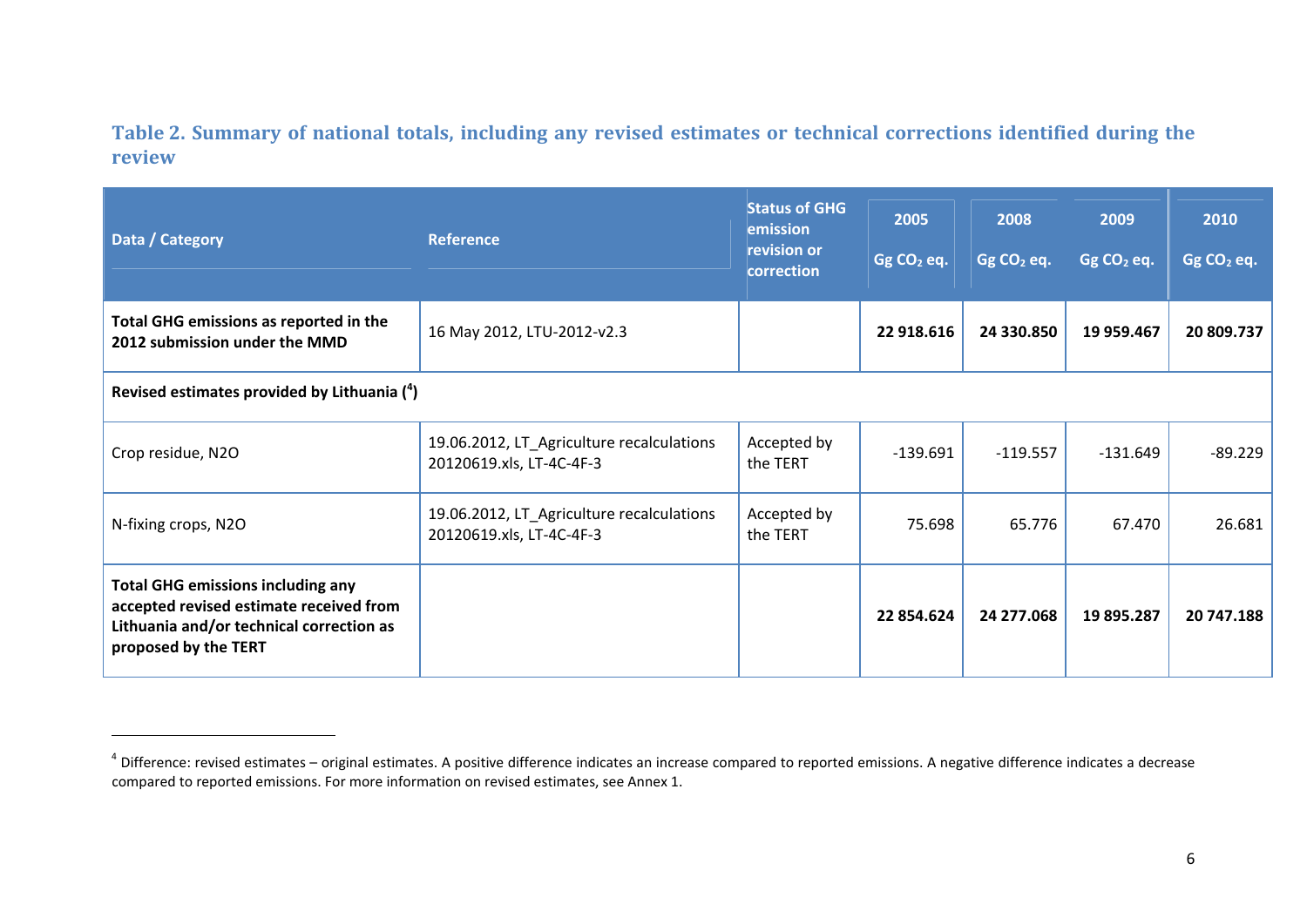**Table 2. Summary of national totals, including any revised estimates or technical corrections identified during the review** 

| Data / Category                                                                                                                                         | <b>Reference</b>                                                      | <b>Status of GHG</b><br>emission<br>revision or<br>correction | 2005<br>Gg CO <sub>2</sub> eq. | 2008<br>Gg $CO2$ eq. | 2009<br>$GgCO2$ eq. | 2010<br>Gg CO <sub>2</sub> eq. |
|---------------------------------------------------------------------------------------------------------------------------------------------------------|-----------------------------------------------------------------------|---------------------------------------------------------------|--------------------------------|----------------------|---------------------|--------------------------------|
| Total GHG emissions as reported in the<br>2012 submission under the MMD                                                                                 | 16 May 2012, LTU-2012-v2.3                                            |                                                               | 22 918.616                     | 24 330.850           | 19 959.467          | 20 809.737                     |
| Revised estimates provided by Lithuania $(4)$                                                                                                           |                                                                       |                                                               |                                |                      |                     |                                |
| Crop residue, N2O                                                                                                                                       | 19.06.2012, LT_Agriculture recalculations<br>20120619.xls, LT-4C-4F-3 | Accepted by<br>the TERT                                       | $-139.691$                     | $-119.557$           | $-131.649$          | $-89.229$                      |
| N-fixing crops, N2O                                                                                                                                     | 19.06.2012, LT_Agriculture recalculations<br>20120619.xls, LT-4C-4F-3 | Accepted by<br>the TERT                                       | 75.698                         | 65.776               | 67.470              | 26.681                         |
| <b>Total GHG emissions including any</b><br>accepted revised estimate received from<br>Lithuania and/or technical correction as<br>proposed by the TERT |                                                                       |                                                               | 22 854.624                     | 24 277.068           | 19 895.287          | 20 747.188                     |

<span id="page-5-0"></span> $4$  Difference: revised estimates – original estimates. A positive difference indicates an increase compared to reported emissions. A negative difference indicates a decrease compared to reported emissions. For more information on revised estimates, see Annex 1.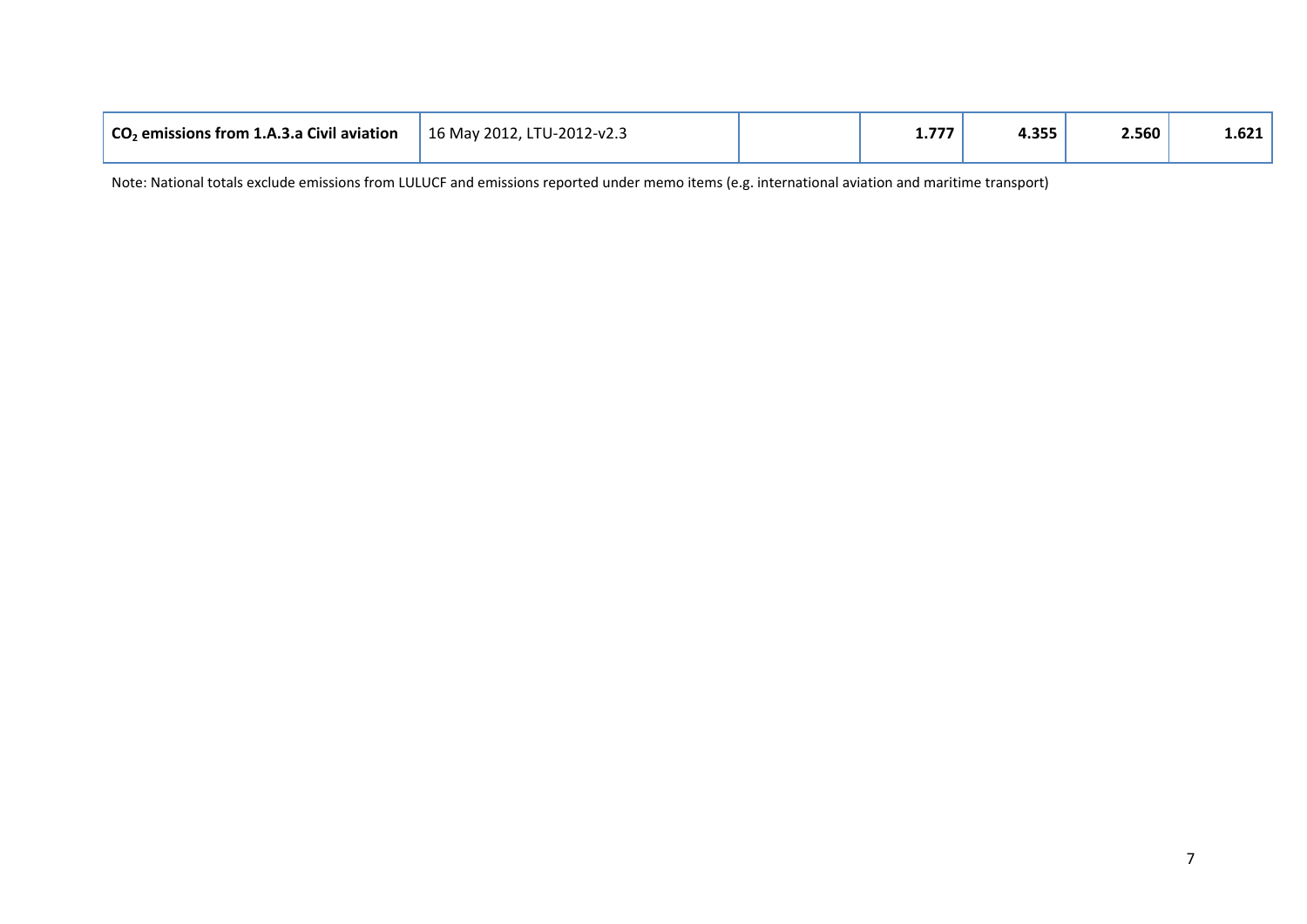| 4.355<br>2.560<br>$CO2$ emissions from 1.A.3.a Civil aviation<br>$\frac{1}{2}$ 16 May 2012, LTU-2012-v2.3<br>---<br>. |  |  |  |  |  |  | $\textcolor{blue}{\textbf{-0.621}}$ ' |
|-----------------------------------------------------------------------------------------------------------------------|--|--|--|--|--|--|---------------------------------------|
|-----------------------------------------------------------------------------------------------------------------------|--|--|--|--|--|--|---------------------------------------|

Note: National totals exclude emissions from LULUCF and emissions reported under memo items (e.g. international aviation and maritime transport)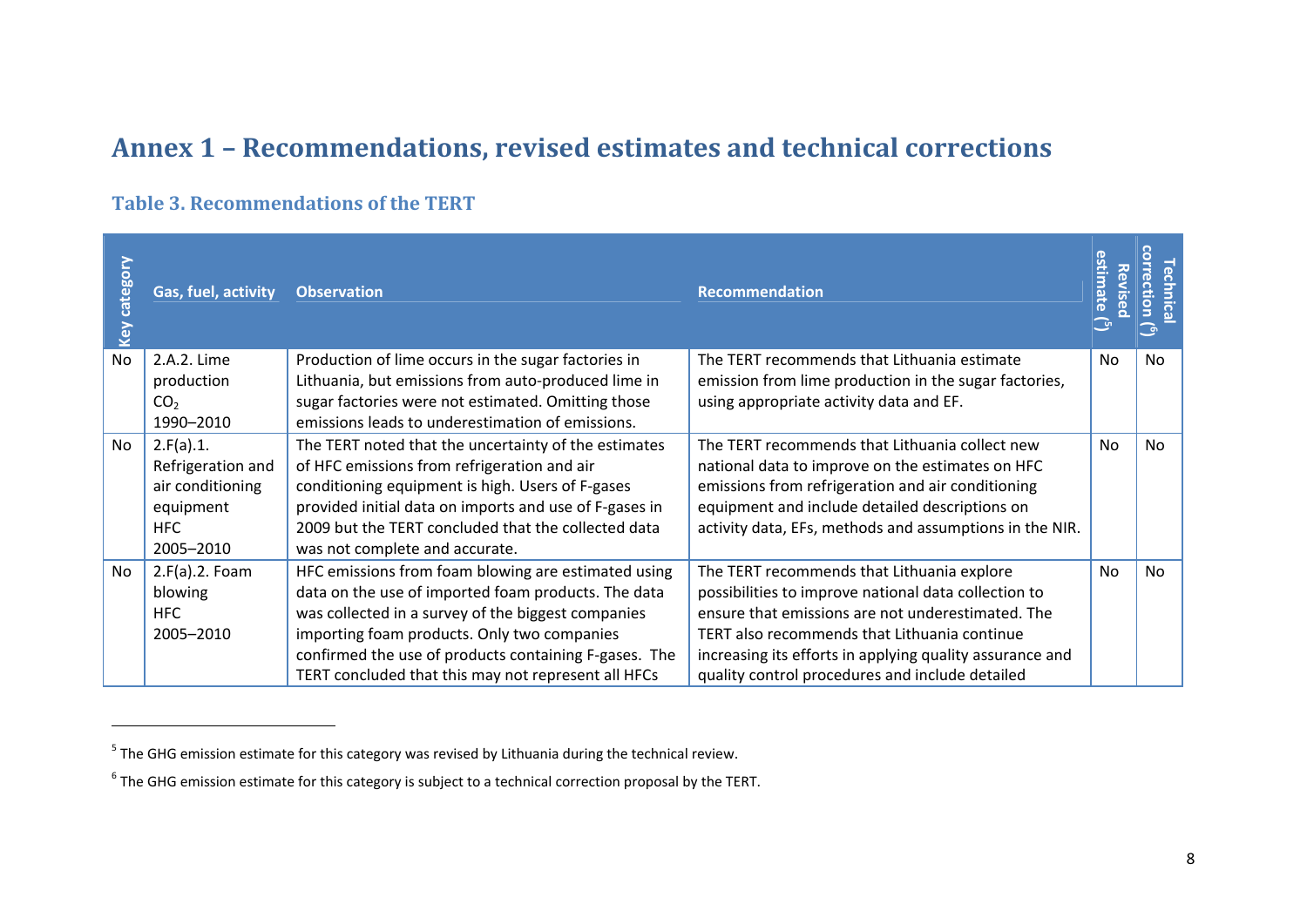### **Annex 1 – Recommendations, revised estimates and technical corrections**

#### **Table 3. Recommendations of the TERT**

| category<br>Key | Gas, fuel, activity | <b>Observation</b>                                     | <b>Recommendation</b>                                    | timate<br>Rev<br>$\ddot{\mathbf{0}}$ | 읍.<br>$\circ$<br>- ത |
|-----------------|---------------------|--------------------------------------------------------|----------------------------------------------------------|--------------------------------------|----------------------|
| <b>No</b>       | 2.A.2. Lime         | Production of lime occurs in the sugar factories in    | The TERT recommends that Lithuania estimate              | No                                   | <b>No</b>            |
|                 | production          | Lithuania, but emissions from auto-produced lime in    | emission from lime production in the sugar factories,    |                                      |                      |
|                 | CO <sub>2</sub>     | sugar factories were not estimated. Omitting those     | using appropriate activity data and EF.                  |                                      |                      |
|                 | 1990-2010           | emissions leads to underestimation of emissions.       |                                                          |                                      |                      |
| <b>No</b>       | 2.F(a).1.           | The TERT noted that the uncertainty of the estimates   | The TERT recommends that Lithuania collect new           | <b>No</b>                            | <b>No</b>            |
|                 | Refrigeration and   | of HFC emissions from refrigeration and air            | national data to improve on the estimates on HFC         |                                      |                      |
|                 | air conditioning    | conditioning equipment is high. Users of F-gases       | emissions from refrigeration and air conditioning        |                                      |                      |
|                 | equipment           | provided initial data on imports and use of F-gases in | equipment and include detailed descriptions on           |                                      |                      |
|                 | <b>HFC</b>          | 2009 but the TERT concluded that the collected data    | activity data, EFs, methods and assumptions in the NIR.  |                                      |                      |
|                 | 2005-2010           | was not complete and accurate.                         |                                                          |                                      |                      |
| <b>No</b>       | $2.F(a).2.$ Foam    | HFC emissions from foam blowing are estimated using    | The TERT recommends that Lithuania explore               | No                                   | No.                  |
|                 | blowing             | data on the use of imported foam products. The data    | possibilities to improve national data collection to     |                                      |                      |
|                 | <b>HFC</b>          | was collected in a survey of the biggest companies     | ensure that emissions are not underestimated. The        |                                      |                      |
|                 | 2005-2010           | importing foam products. Only two companies            | TERT also recommends that Lithuania continue             |                                      |                      |
|                 |                     | confirmed the use of products containing F-gases. The  | increasing its efforts in applying quality assurance and |                                      |                      |
|                 |                     | TERT concluded that this may not represent all HFCs    | quality control procedures and include detailed          |                                      |                      |

 $<sup>5</sup>$  The GHG emission estimate for this category was revised by Lithuania during the technical review.</sup>

<span id="page-7-1"></span><span id="page-7-0"></span> $6$  The GHG emission estimate for this category is subject to a technical correction proposal by the TERT.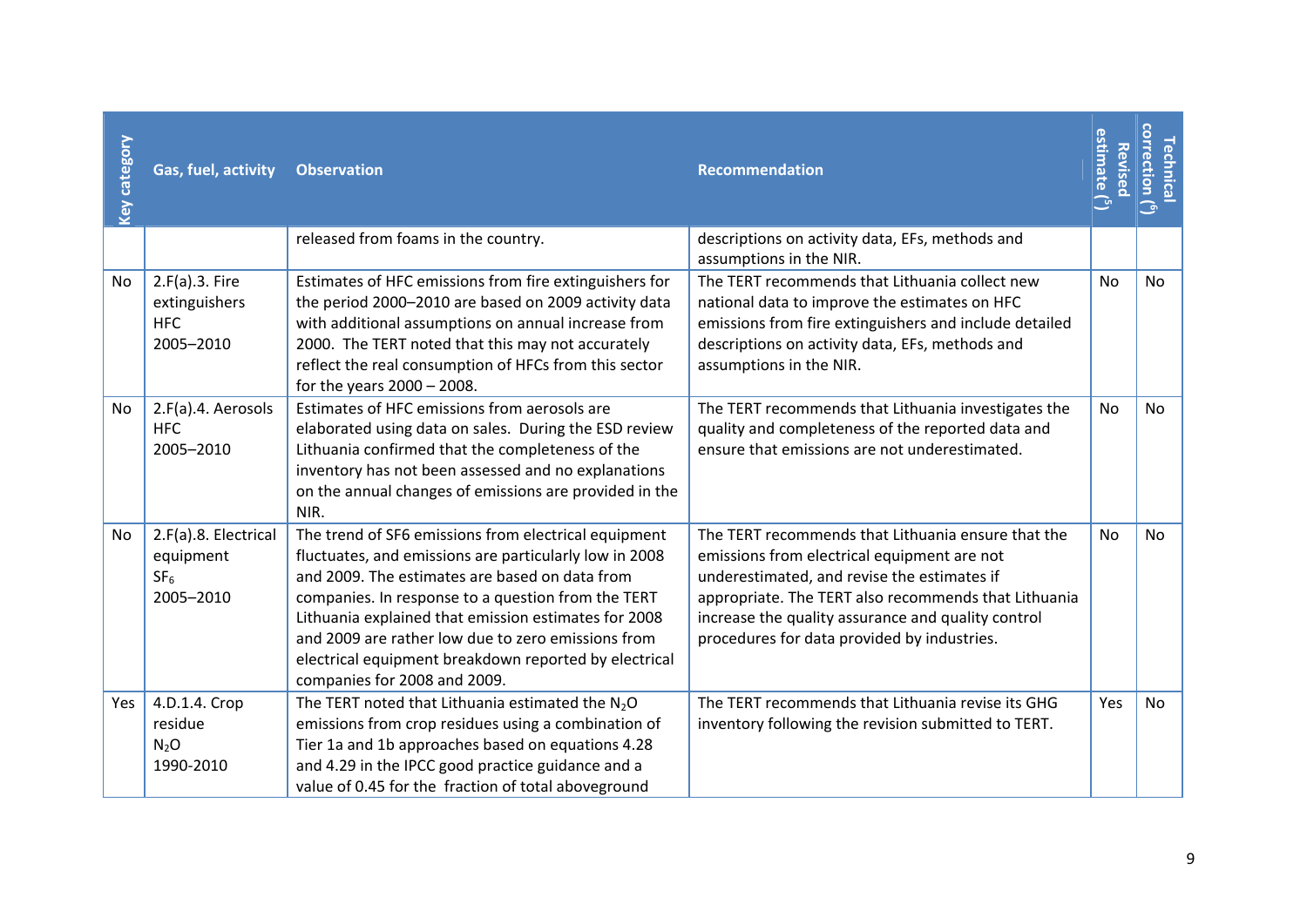| Key category | Gas, fuel, activity                                               | <b>Observation</b>                                                                                                                                                                                                                                                                                                                                                                                                            | <b>Recommendation</b>                                                                                                                                                                                                                                                                                         | estimate ( <sup>5</sup> )<br>Revised | correction $\binom{6}{1}$<br><b>Technica</b> |
|--------------|-------------------------------------------------------------------|-------------------------------------------------------------------------------------------------------------------------------------------------------------------------------------------------------------------------------------------------------------------------------------------------------------------------------------------------------------------------------------------------------------------------------|---------------------------------------------------------------------------------------------------------------------------------------------------------------------------------------------------------------------------------------------------------------------------------------------------------------|--------------------------------------|----------------------------------------------|
|              |                                                                   | released from foams in the country.                                                                                                                                                                                                                                                                                                                                                                                           | descriptions on activity data, EFs, methods and<br>assumptions in the NIR.                                                                                                                                                                                                                                    |                                      |                                              |
| No           | 2.F(a).3. Fire<br>extinguishers<br><b>HFC</b><br>2005-2010        | Estimates of HFC emissions from fire extinguishers for<br>the period 2000-2010 are based on 2009 activity data<br>with additional assumptions on annual increase from<br>2000. The TERT noted that this may not accurately<br>reflect the real consumption of HFCs from this sector<br>for the years $2000 - 2008$ .                                                                                                          | The TERT recommends that Lithuania collect new<br>national data to improve the estimates on HFC<br>emissions from fire extinguishers and include detailed<br>descriptions on activity data, EFs, methods and<br>assumptions in the NIR.                                                                       | No                                   | <b>No</b>                                    |
| No.          | 2.F(a).4. Aerosols<br><b>HFC</b><br>2005-2010                     | Estimates of HFC emissions from aerosols are<br>elaborated using data on sales. During the ESD review<br>Lithuania confirmed that the completeness of the<br>inventory has not been assessed and no explanations<br>on the annual changes of emissions are provided in the<br>NIR.                                                                                                                                            | The TERT recommends that Lithuania investigates the<br>quality and completeness of the reported data and<br>ensure that emissions are not underestimated.                                                                                                                                                     | No                                   | No                                           |
| No           | 2.F(a).8. Electrical<br>equipment<br>SF <sub>6</sub><br>2005-2010 | The trend of SF6 emissions from electrical equipment<br>fluctuates, and emissions are particularly low in 2008<br>and 2009. The estimates are based on data from<br>companies. In response to a question from the TERT<br>Lithuania explained that emission estimates for 2008<br>and 2009 are rather low due to zero emissions from<br>electrical equipment breakdown reported by electrical<br>companies for 2008 and 2009. | The TERT recommends that Lithuania ensure that the<br>emissions from electrical equipment are not<br>underestimated, and revise the estimates if<br>appropriate. The TERT also recommends that Lithuania<br>increase the quality assurance and quality control<br>procedures for data provided by industries. | No                                   | No                                           |
| Yes          | 4.D.1.4. Crop<br>residue<br>$N_2O$<br>1990-2010                   | The TERT noted that Lithuania estimated the $N_2O$<br>emissions from crop residues using a combination of<br>Tier 1a and 1b approaches based on equations 4.28<br>and 4.29 in the IPCC good practice guidance and a<br>value of 0.45 for the fraction of total aboveground                                                                                                                                                    | The TERT recommends that Lithuania revise its GHG<br>inventory following the revision submitted to TERT.                                                                                                                                                                                                      | Yes                                  | No                                           |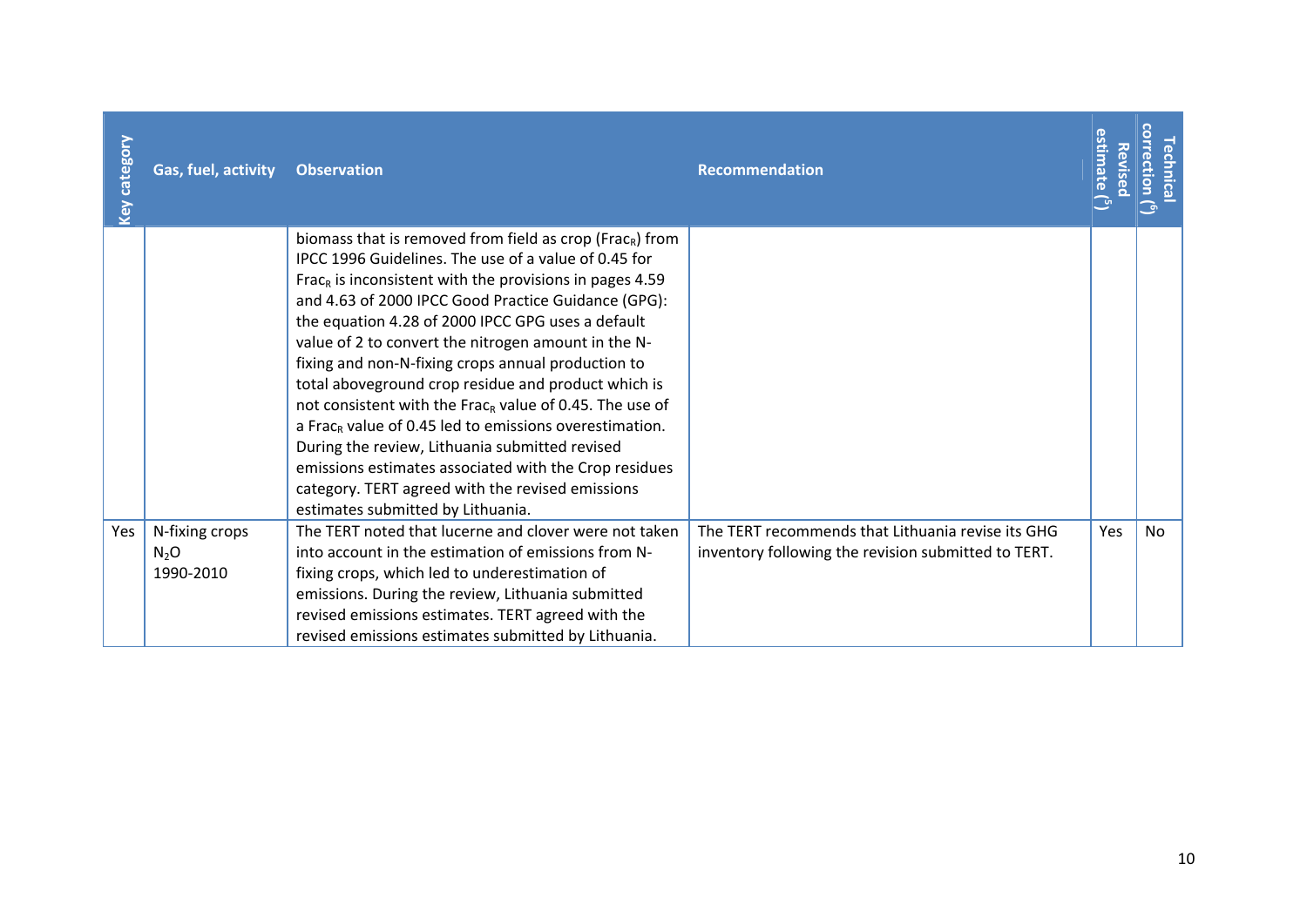| Key category | Gas, fuel, activity                   | <b>Observation</b>                                                                                                                                                                                                                                                                                                                                                                                                                                                                                                                                                                                                                                                                                                                                                                                                                   | <b>Recommendation</b>                                                                                    | stimate<br><b>Revise</b> | <u>ction</u> |
|--------------|---------------------------------------|--------------------------------------------------------------------------------------------------------------------------------------------------------------------------------------------------------------------------------------------------------------------------------------------------------------------------------------------------------------------------------------------------------------------------------------------------------------------------------------------------------------------------------------------------------------------------------------------------------------------------------------------------------------------------------------------------------------------------------------------------------------------------------------------------------------------------------------|----------------------------------------------------------------------------------------------------------|--------------------------|--------------|
|              |                                       | biomass that is removed from field as crop (Frac <sub>R</sub> ) from<br>IPCC 1996 Guidelines. The use of a value of 0.45 for<br>Frac <sub>R</sub> is inconsistent with the provisions in pages 4.59<br>and 4.63 of 2000 IPCC Good Practice Guidance (GPG):<br>the equation 4.28 of 2000 IPCC GPG uses a default<br>value of 2 to convert the nitrogen amount in the N-<br>fixing and non-N-fixing crops annual production to<br>total aboveground crop residue and product which is<br>not consistent with the Frac <sub>R</sub> value of 0.45. The use of<br>a Frac <sub>R</sub> value of 0.45 led to emissions overestimation.<br>During the review, Lithuania submitted revised<br>emissions estimates associated with the Crop residues<br>category. TERT agreed with the revised emissions<br>estimates submitted by Lithuania. |                                                                                                          |                          |              |
| Yes          | N-fixing crops<br>$N_2O$<br>1990-2010 | The TERT noted that lucerne and clover were not taken<br>into account in the estimation of emissions from N-<br>fixing crops, which led to underestimation of<br>emissions. During the review, Lithuania submitted<br>revised emissions estimates. TERT agreed with the<br>revised emissions estimates submitted by Lithuania.                                                                                                                                                                                                                                                                                                                                                                                                                                                                                                       | The TERT recommends that Lithuania revise its GHG<br>inventory following the revision submitted to TERT. | Yes                      | No           |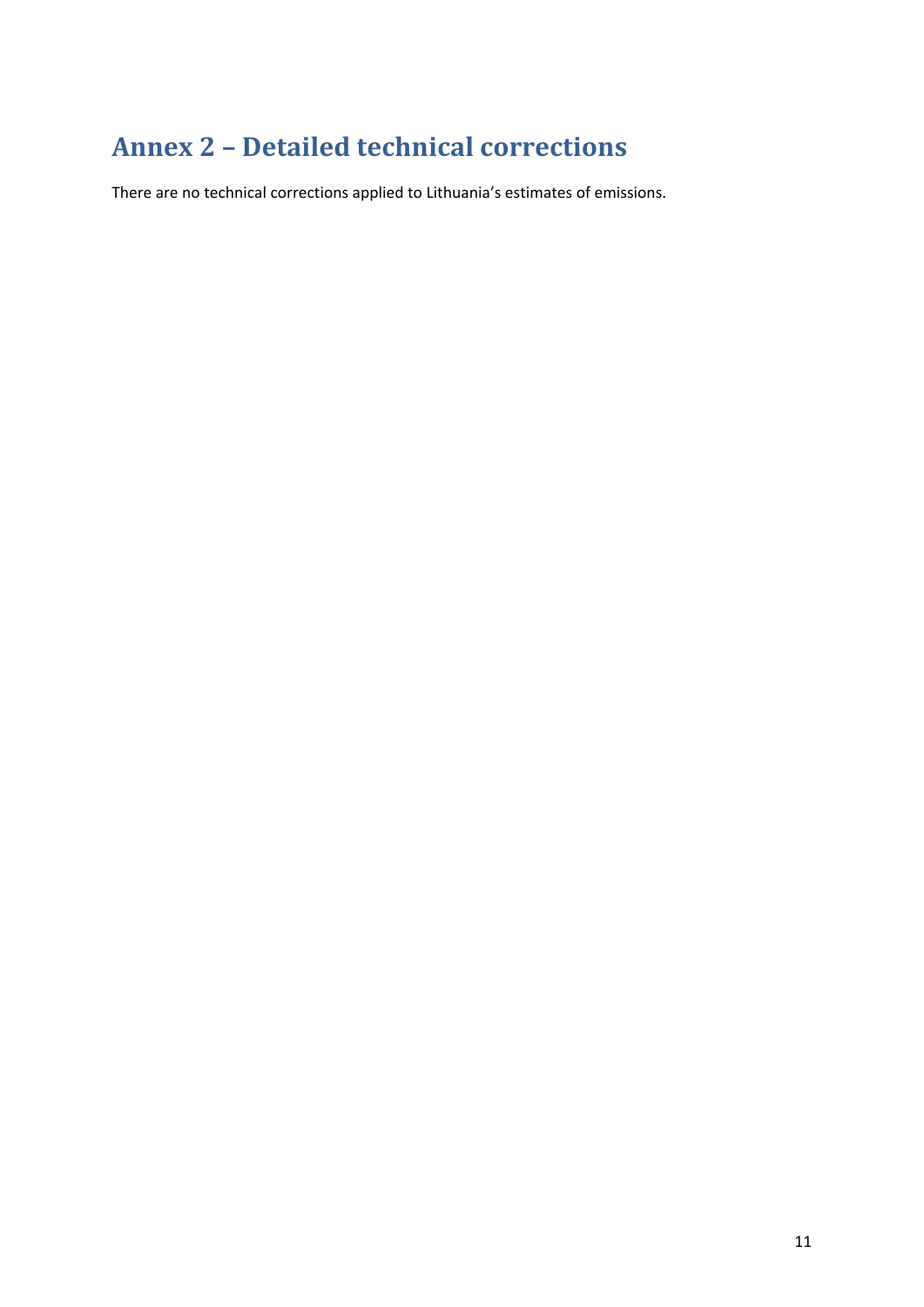# <span id="page-10-0"></span>**Annex 2 – Detailed technical corrections**

There are no technical corrections applied to Lithuania's estimates of emissions.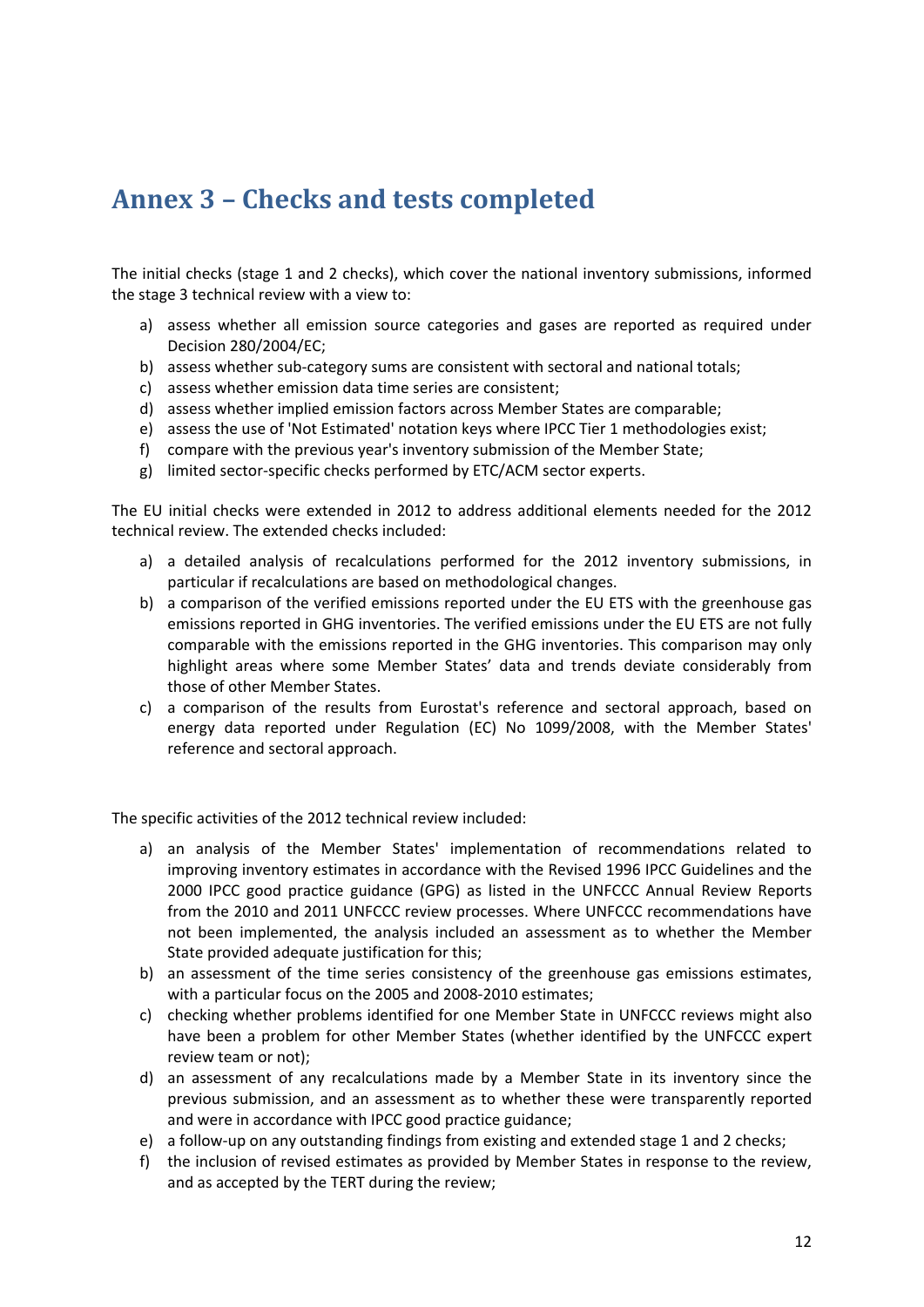### <span id="page-11-0"></span>**Annex 3 – Checks and tests completed**

The initial checks (stage 1 and 2 checks), which cover the national inventory submissions, informed the stage 3 technical review with a view to:

- a) assess whether all emission source categories and gases are reported as required under Decision 280/2004/EC;
- b) assess whether sub-category sums are consistent with sectoral and national totals;
- c) assess whether emission data time series are consistent;
- d) assess whether implied emission factors across Member States are comparable;
- e) assess the use of 'Not Estimated' notation keys where IPCC Tier 1 methodologies exist;
- f) compare with the previous year's inventory submission of the Member State;
- g) limited sector-specific checks performed by ETC/ACM sector experts.

The EU initial checks were extended in 2012 to address additional elements needed for the 2012 technical review. The extended checks included:

- a) a detailed analysis of recalculations performed for the 2012 inventory submissions, in particular if recalculations are based on methodological changes.
- b) a comparison of the verified emissions reported under the EU ETS with the greenhouse gas emissions reported in GHG inventories. The verified emissions under the EU ETS are not fully comparable with the emissions reported in the GHG inventories. This comparison may only highlight areas where some Member States' data and trends deviate considerably from those of other Member States.
- c) a comparison of the results from Eurostat's reference and sectoral approach, based on energy data reported under Regulation (EC) No 1099/2008, with the Member States' reference and sectoral approach.

The specific activities of the 2012 technical review included:

- a) an analysis of the Member States' implementation of recommendations related to improving inventory estimates in accordance with the Revised 1996 IPCC Guidelines and the 2000 IPCC good practice guidance (GPG) as listed in the UNFCCC Annual Review Reports from the 2010 and 2011 UNFCCC review processes. Where UNFCCC recommendations have not been implemented, the analysis included an assessment as to whether the Member State provided adequate justification for this;
- b) an assessment of the time series consistency of the greenhouse gas emissions estimates, with a particular focus on the 2005 and 2008-2010 estimates;
- c) checking whether problems identified for one Member State in UNFCCC reviews might also have been a problem for other Member States (whether identified by the UNFCCC expert review team or not);
- d) an assessment of any recalculations made by a Member State in its inventory since the previous submission, and an assessment as to whether these were transparently reported and were in accordance with IPCC good practice guidance;
- e) a follow-up on any outstanding findings from existing and extended stage 1 and 2 checks;
- f) the inclusion of revised estimates as provided by Member States in response to the review, and as accepted by the TERT during the review;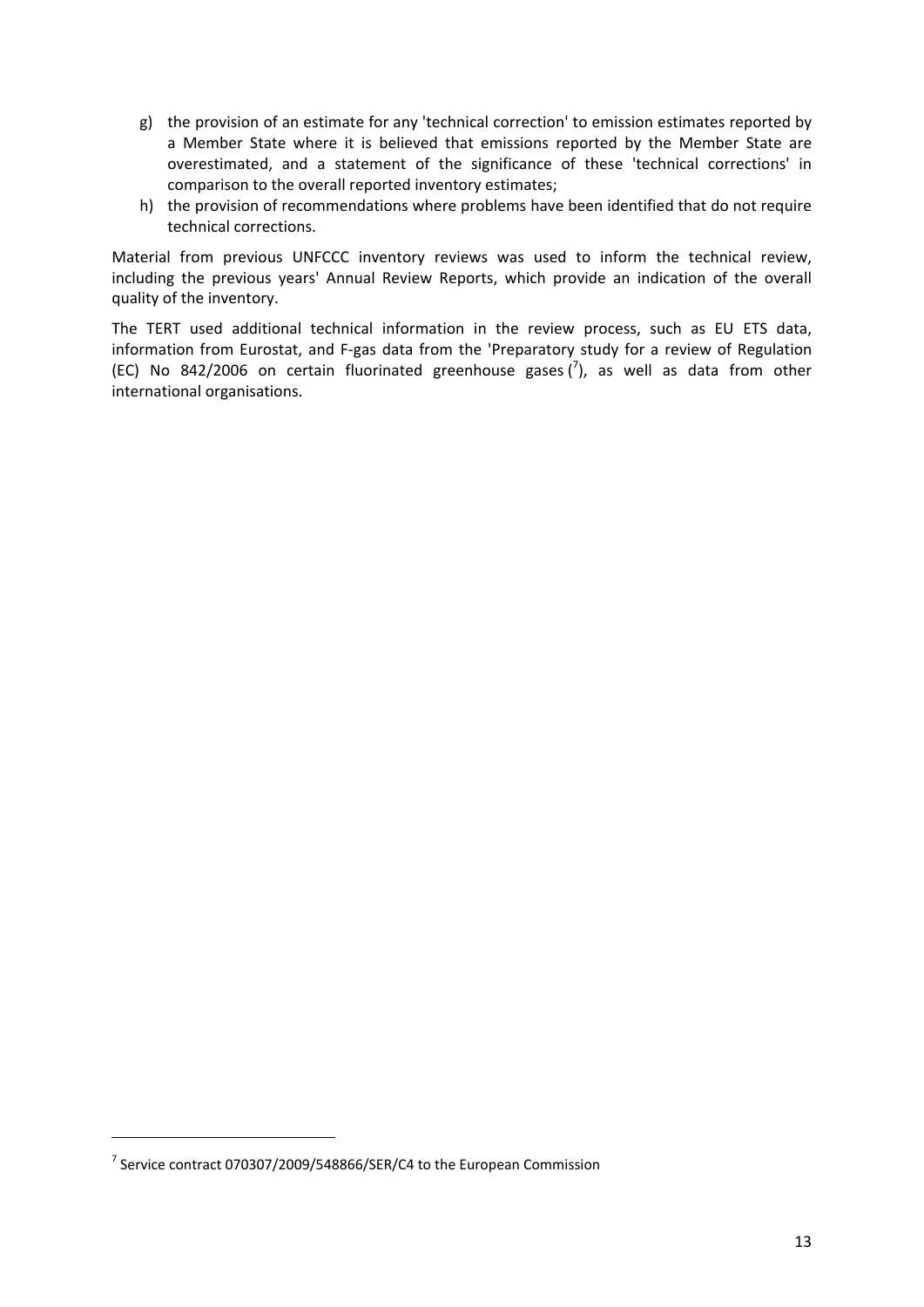- g) the provision of an estimate for any 'technical correction' to emission estimates reported by a Member State where it is believed that emissions reported by the Member State are overestimated, and a statement of the significance of these 'technical corrections' in comparison to the overall reported inventory estimates;
- h) the provision of recommendations where problems have been identified that do not require technical corrections.

Material from previous UNFCCC inventory reviews was used to inform the technical review, including the previous years' Annual Review Reports, which provide an indication of the overall quality of the inventory.

The TERT used additional technical information in the review process, such as EU ETS data, information from Eurostat, and F-gas data from the 'Preparatory study for a review of Regulation (EC) No 842/2006 on certain fluorinated greenhouse gases  $\binom{7}{2}$ , as well as data from other international organisations.

**.** 

 $^7$  Service contract 070307/2009/548866/SER/C4 to the European Commission